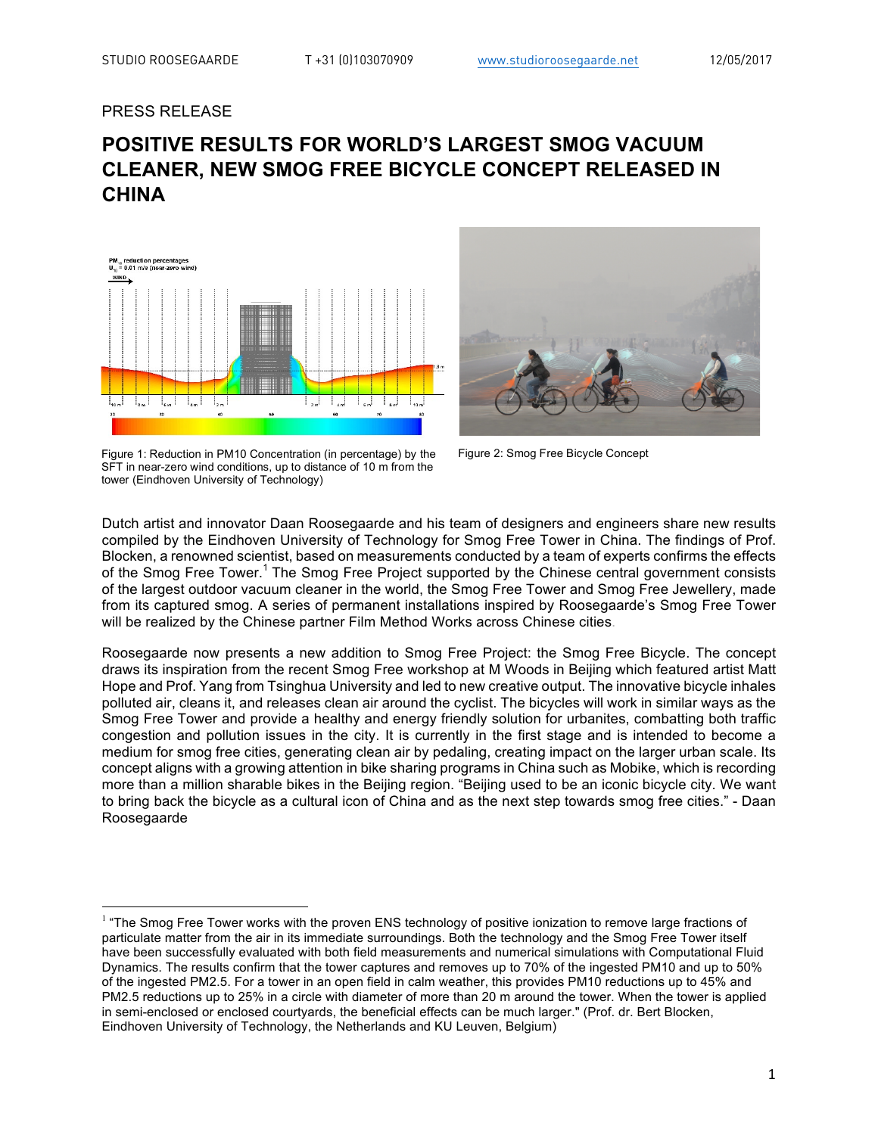## PRESS RELEASE

# **POSITIVE RESULTS FOR WORLD'S LARGEST SMOG VACUUM CLEANER, NEW SMOG FREE BICYCLE CONCEPT RELEASED IN CHINA**



Figure 1: Reduction in PM10 Concentration (in percentage) by the SFT in near-zero wind conditions, up to distance of 10 m from the tower (Eindhoven University of Technology)



Figure 2: Smog Free Bicycle Concept

Dutch artist and innovator Daan Roosegaarde and his team of designers and engineers share new results compiled by the Eindhoven University of Technology for Smog Free Tower in China. The findings of Prof. Blocken, a renowned scientist, based on measurements conducted by a team of experts confirms the effects of the Smog Free Tower.<sup>1</sup> The Smog Free Project supported by the Chinese central government consists of the largest outdoor vacuum cleaner in the world, the Smog Free Tower and Smog Free Jewellery, made from its captured smog. A series of permanent installations inspired by Roosegaarde's Smog Free Tower will be realized by the Chinese partner Film Method Works across Chinese cities.

Roosegaarde now presents a new addition to Smog Free Project: the Smog Free Bicycle. The concept draws its inspiration from the recent Smog Free workshop at M Woods in Beijing which featured artist Matt Hope and Prof. Yang from Tsinghua University and led to new creative output. The innovative bicycle inhales polluted air, cleans it, and releases clean air around the cyclist. The bicycles will work in similar ways as the Smog Free Tower and provide a healthy and energy friendly solution for urbanites, combatting both traffic congestion and pollution issues in the city. It is currently in the first stage and is intended to become a medium for smog free cities, generating clean air by pedaling, creating impact on the larger urban scale. Its concept aligns with a growing attention in bike sharing programs in China such as Mobike, which is recording more than a million sharable bikes in the Beijing region. "Beijing used to be an iconic bicycle city. We want to bring back the bicycle as a cultural icon of China and as the next step towards smog free cities." - Daan Roosegaarde

<sup>&</sup>lt;sup>1</sup> "The Smog Free Tower works with the proven ENS technology of positive ionization to remove large fractions of particulate matter from the air in its immediate surroundings. Both the technology and the Smog Free Tower itself have been successfully evaluated with both field measurements and numerical simulations with Computational Fluid Dynamics. The results confirm that the tower captures and removes up to 70% of the ingested PM10 and up to 50% of the ingested PM2.5. For a tower in an open field in calm weather, this provides PM10 reductions up to 45% and PM2.5 reductions up to 25% in a circle with diameter of more than 20 m around the tower. When the tower is applied in semi-enclosed or enclosed courtyards, the beneficial effects can be much larger." (Prof. dr. Bert Blocken, Eindhoven University of Technology, the Netherlands and KU Leuven, Belgium)